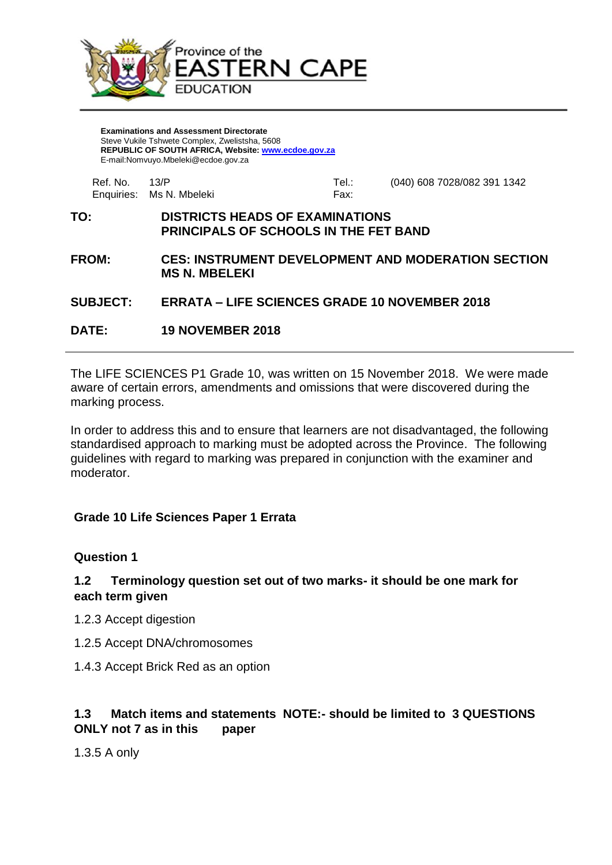

**Examinations and Assessment Directorate** Steve Vukile Tshwete Complex, Zwelistsha, 5608 **REPUBLIC OF SOUTH AFRICA, Website: [www.ecdoe.gov.za](http://www.ecdoe.gov.za/)** E-mail:Nomvuyo.Mbeleki@ecdoe.gov.za

| Enquiries: Ms N. Mbeleki<br>Fax: |                             |       | <b>DISTRICTS HEADS OF EXAMINATIONS</b> |            | TO: |
|----------------------------------|-----------------------------|-------|----------------------------------------|------------|-----|
|                                  | (040) 608 7028/082 391 1342 | Tel.∶ | 13/P                                   | Ref. No. . |     |

- **PRINCIPALS OF SCHOOLS IN THE FET BAND**
- **FROM: CES: INSTRUMENT DEVELOPMENT AND MODERATION SECTION MS N. MBELEKI**

### **SUBJECT: ERRATA – LIFE SCIENCES GRADE 10 NOVEMBER 2018**

**DATE: 19 NOVEMBER 2018**

The LIFE SCIENCES P1 Grade 10, was written on 15 November 2018. We were made aware of certain errors, amendments and omissions that were discovered during the marking process.

In order to address this and to ensure that learners are not disadvantaged, the following standardised approach to marking must be adopted across the Province. The following guidelines with regard to marking was prepared in conjunction with the examiner and moderator.

## **Grade 10 Life Sciences Paper 1 Errata**

## **Question 1**

### **1.2 Terminology question set out of two marks- it should be one mark for each term given**

- 1.2.3 Accept digestion
- 1.2.5 Accept DNA/chromosomes
- 1.4.3 Accept Brick Red as an option

# **1.3 Match items and statements NOTE:- should be limited to 3 QUESTIONS ONLY not 7 as in this paper**

1.3.5 A only